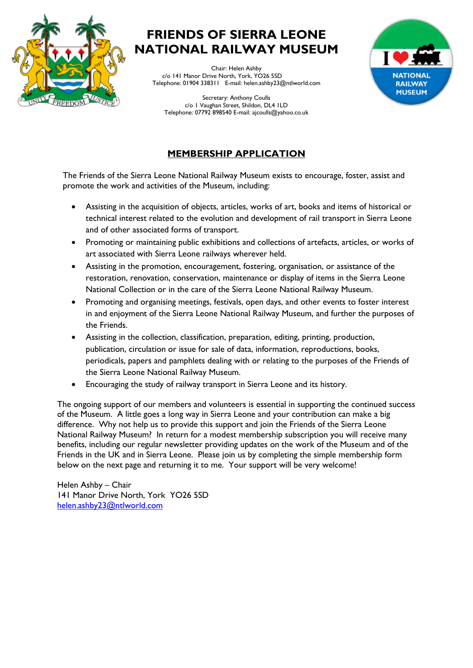

# **FRIENDS OF SIERRA LEONE NATIONAL RAILWAY MUSEUM**

Chair: Helen Ashby c/o 141 Manor Drive North, York, YO26 5SD Telephone: 01904 338311 E-mail: helen.ashby23@ntlworld.com





### **MEMBERSHIP APPLICATION**

The Friends of the Sierra Leone National Railway Museum exists to encourage, foster, assist and promote the work and activities of the Museum, including:

- Assisting in the acquisition of objects, articles, works of art, books and items of historical or technical interest related to the evolution and development of rail transport in Sierra Leone and of other associated forms of transport.
- Promoting or maintaining public exhibitions and collections of artefacts, articles, or works of art associated with Sierra Leone railways wherever held.
- Assisting in the promotion, encouragement, fostering, organisation, or assistance of the restoration, renovation, conservation, maintenance or display of items in the Sierra Leone National Collection or in the care of the Sierra Leone National Railway Museum.
- Promoting and organising meetings, festivals, open days, and other events to foster interest in and enjoyment of the Sierra Leone National Railway Museum, and further the purposes of the Friends.
- Assisting in the collection, classification, preparation, editing, printing, production, publication, circulation or issue for sale of data, information, reproductions, books, periodicals, papers and pamphlets dealing with or relating to the purposes of the Friends of the Sierra Leone National Railway Museum.
- Encouraging the study of railway transport in Sierra Leone and its history.

The ongoing support of our members and volunteers is essential in supporting the continued success of the Museum. A little goes a long way in Sierra Leone and your contribution can make a big difference. Why not help us to provide this support and join the Friends of the Sierra Leone National Railway Museum? In return for a modest membership subscription you will receive many benefits, including our regular newsletter providing updates on the work of the Museum and of the Friends in the UK and in Sierra Leone. Please join us by completing the simple membership form below on the next page and returning it to me. Your support will be very welcome!

Helen Ashby – Chair 141 Manor Drive North, York YO26 5SD [helen.ashby23@ntlworld.com](mailto:helen.ashby23@ntlworld.com)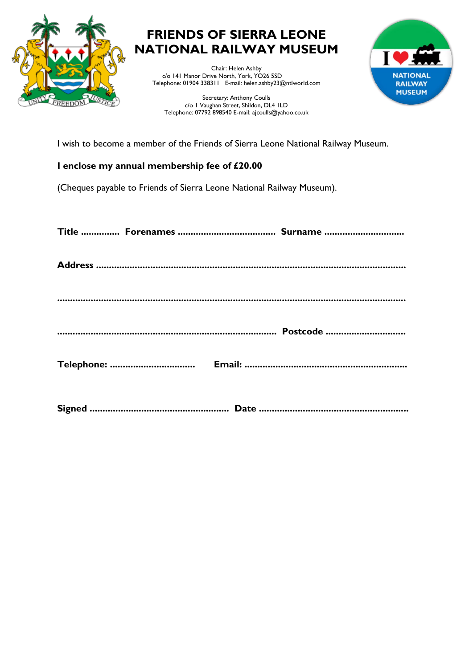

# **FRIENDS OF SIERRA LEONE NATIONAL RAILWAY MUSEUM**

Chair: Helen Ashby c/o 141 Manor Drive North, York, YO26 5SD Telephone: 01904 338311 E-mail: helen.ashby23@ntlworld.com

Secretary: Anthony Coulls c/o 1 Vaughan Street, Shildon, DL4 1LD Telephone: 07792 898540 E-mail: ajcoulls@yahoo.co.uk



I wish to become a member of the Friends of Sierra Leone National Railway Museum.

### **I enclose my annual membership fee of £20.00**

(Cheques payable to Friends of Sierra Leone National Railway Museum).